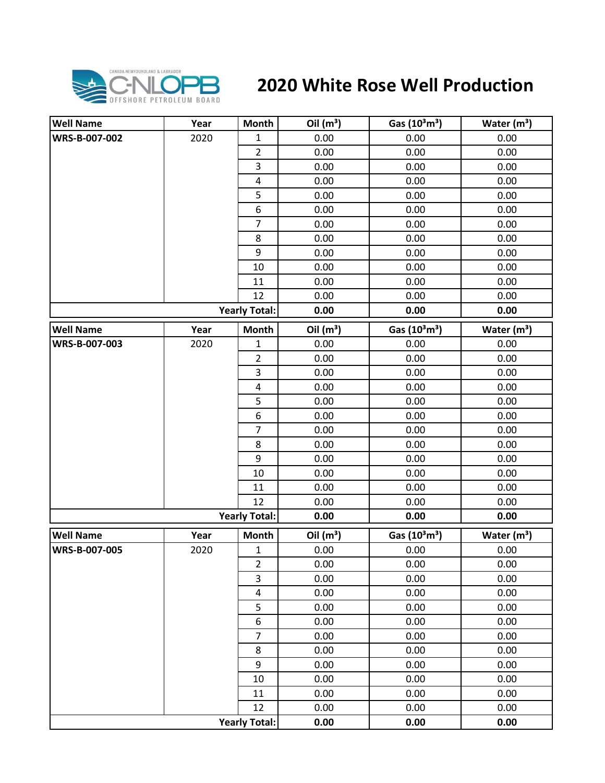

## **2020 White Rose Well Production**

| <b>Well Name</b> | Year | Month                   | Oil $(m^3)$ | Gas $(10^3 \text{m}^3)$               | Water $(m^3)$ |
|------------------|------|-------------------------|-------------|---------------------------------------|---------------|
| WRS-B-007-002    | 2020 | $\mathbf{1}$            | 0.00        | 0.00                                  | 0.00          |
|                  |      | $\overline{2}$          | 0.00        | 0.00                                  | 0.00          |
|                  |      | 3                       | 0.00        | 0.00                                  | 0.00          |
|                  |      | $\overline{\mathbf{4}}$ | 0.00        | 0.00                                  | 0.00          |
|                  |      | 5                       | 0.00        | 0.00                                  | 0.00          |
|                  |      | 6                       | 0.00        | 0.00                                  | 0.00          |
|                  |      | $\overline{7}$          | 0.00        | 0.00                                  | 0.00          |
|                  |      | 8                       | 0.00        | 0.00                                  | 0.00          |
|                  |      | 9                       | 0.00        | 0.00                                  | 0.00          |
|                  |      | 10                      | 0.00        | 0.00                                  | 0.00          |
|                  |      | 11                      | 0.00        | 0.00                                  | 0.00          |
|                  |      | 12                      | 0.00        | 0.00                                  | 0.00          |
|                  |      | <b>Yearly Total:</b>    | 0.00        | 0.00                                  | 0.00          |
| <b>Well Name</b> | Year | <b>Month</b>            | Oil $(m^3)$ | Gas (10 <sup>3</sup> m <sup>3</sup> ) | Water $(m3)$  |
| WRS-B-007-003    | 2020 | $\mathbf 1$             | 0.00        | 0.00                                  | 0.00          |
|                  |      | $\overline{2}$          | 0.00        | 0.00                                  | 0.00          |
|                  |      | 3                       | 0.00        | 0.00                                  | 0.00          |
|                  |      | $\pmb{4}$               | 0.00        | 0.00                                  | 0.00          |
|                  |      | 5                       | 0.00        | 0.00                                  | 0.00          |
|                  |      | $\boldsymbol{6}$        | 0.00        | 0.00                                  | 0.00          |
|                  |      | $\overline{7}$          | 0.00        | 0.00                                  | 0.00          |
|                  |      | 8                       | 0.00        | 0.00                                  | 0.00          |
|                  |      | 9                       | 0.00        | 0.00                                  | 0.00          |
|                  |      | 10                      | 0.00        | 0.00                                  | 0.00          |
|                  |      | 11                      | 0.00        | 0.00                                  | 0.00          |
|                  |      | 12                      | 0.00        | 0.00                                  | 0.00          |
|                  |      | <b>Yearly Total:</b>    | 0.00        | 0.00                                  | 0.00          |
| <b>Well Name</b> | Year | Month                   | Oil $(m^3)$ | Gas (10 <sup>3</sup> m <sup>3</sup> ) | Water $(m^3)$ |
| WRS-B-007-005    | 2020 | $\mathbf{1}$            | 0.00        | 0.00                                  | 0.00          |
|                  |      | $\overline{2}$          | 0.00        | 0.00                                  | 0.00          |
|                  |      | 3                       | 0.00        | 0.00                                  | 0.00          |
|                  |      | $\overline{\mathbf{4}}$ | 0.00        | 0.00                                  | 0.00          |
|                  |      | 5                       | 0.00        | 0.00                                  | 0.00          |
|                  |      | $\boldsymbol{6}$        | 0.00        | 0.00                                  | 0.00          |
|                  |      | $\overline{7}$          | 0.00        | 0.00                                  | 0.00          |
|                  |      | 8                       | 0.00        | 0.00                                  | 0.00          |
|                  |      | 9                       | 0.00        | 0.00                                  | 0.00          |
|                  |      | $10\,$                  | 0.00        | 0.00                                  | 0.00          |
|                  |      | 11                      | 0.00        | 0.00                                  | 0.00          |
|                  |      | 12                      | 0.00        | 0.00                                  | 0.00          |
|                  |      | <b>Yearly Total:</b>    | 0.00        | 0.00                                  | 0.00          |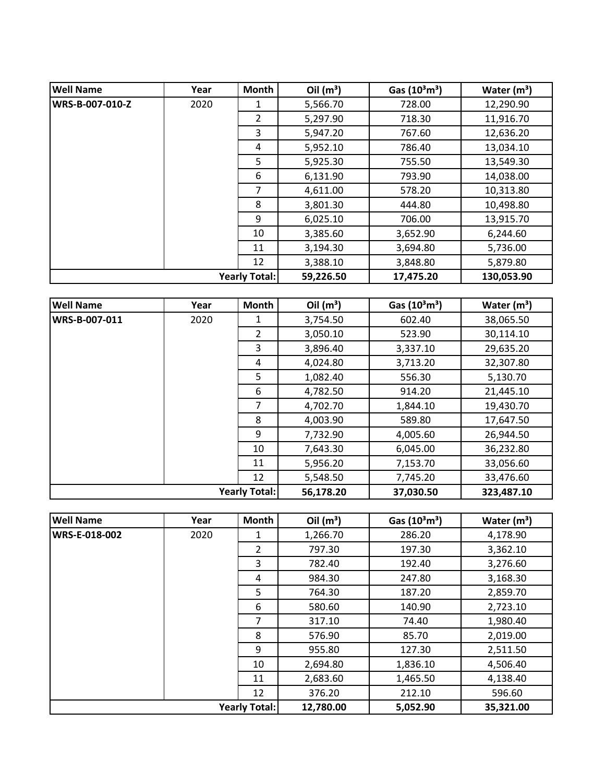| <b>Well Name</b> | Year | Month                | Oil $(m^3)$ | Gas $(10^3 \text{m}^3)$ | Water $(m^3)$ |
|------------------|------|----------------------|-------------|-------------------------|---------------|
| WRS-B-007-010-Z  | 2020 | 1                    | 5,566.70    | 728.00                  | 12,290.90     |
|                  |      | $\overline{2}$       | 5,297.90    | 718.30                  | 11,916.70     |
|                  |      | 3                    | 5,947.20    | 767.60                  | 12,636.20     |
|                  |      | 4                    | 5,952.10    | 786.40                  | 13,034.10     |
|                  |      | 5                    | 5,925.30    | 755.50                  | 13,549.30     |
|                  |      | 6                    | 6,131.90    | 793.90                  | 14,038.00     |
|                  |      | 7                    | 4,611.00    | 578.20                  | 10,313.80     |
|                  |      | 8                    | 3,801.30    | 444.80                  | 10,498.80     |
|                  |      | 9                    | 6,025.10    | 706.00                  | 13,915.70     |
|                  |      | 10                   | 3,385.60    | 3,652.90                | 6,244.60      |
|                  |      | 11                   | 3,194.30    | 3,694.80                | 5,736.00      |
|                  |      | 12                   | 3,388.10    | 3,848.80                | 5,879.80      |
|                  |      | <b>Yearly Total:</b> | 59,226.50   | 17,475.20               | 130,053.90    |

| <b>Well Name</b> | Year | Month         | Oil $(m^3)$ | Gas $(10^3 \text{m}^3)$ | Water $(m^3)$ |
|------------------|------|---------------|-------------|-------------------------|---------------|
| WRS-B-007-011    | 2020 | 1             | 3,754.50    | 602.40                  | 38,065.50     |
|                  |      | $\mathcal{P}$ | 3,050.10    | 523.90                  | 30,114.10     |
|                  |      | 3             | 3,896.40    | 3,337.10                | 29,635.20     |
|                  |      | 4             | 4,024.80    | 3,713.20                | 32,307.80     |
|                  |      | 5             | 1,082.40    | 556.30                  | 5,130.70      |
|                  |      | 6             | 4,782.50    | 914.20                  | 21,445.10     |
|                  |      | 7             | 4,702.70    | 1,844.10                | 19,430.70     |
|                  |      | 8             | 4,003.90    | 589.80                  | 17,647.50     |
|                  |      | 9             | 7,732.90    | 4,005.60                | 26,944.50     |
|                  |      | 10            | 7,643.30    | 6,045.00                | 36,232.80     |
|                  |      | 11            | 5,956.20    | 7,153.70                | 33,056.60     |
|                  |      | 12            | 5,548.50    | 7,745.20                | 33,476.60     |
|                  |      | Yearly Total: | 56,178.20   | 37,030.50               | 323,487.10    |

| <b>Well Name</b> | Year | <b>Month</b>         | Oil $(m^3)$ | Gas $(10^3 \text{m}^3)$ | Water $(m^3)$ |
|------------------|------|----------------------|-------------|-------------------------|---------------|
| WRS-E-018-002    | 2020 | 1                    | 1,266.70    | 286.20                  | 4,178.90      |
|                  |      | 2                    | 797.30      | 197.30                  | 3,362.10      |
|                  |      | 3                    | 782.40      | 192.40                  | 3,276.60      |
|                  |      | 4                    | 984.30      | 247.80                  | 3,168.30      |
|                  |      | 5                    | 764.30      | 187.20                  | 2,859.70      |
|                  |      | 6                    | 580.60      | 140.90                  | 2,723.10      |
|                  |      | 7                    | 317.10      | 74.40                   | 1,980.40      |
|                  |      | 8                    | 576.90      | 85.70                   | 2,019.00      |
|                  |      | 9                    | 955.80      | 127.30                  | 2,511.50      |
|                  |      | 10                   | 2,694.80    | 1,836.10                | 4,506.40      |
|                  |      | 11                   | 2,683.60    | 1,465.50                | 4,138.40      |
|                  |      | 12                   | 376.20      | 212.10                  | 596.60        |
|                  |      | <b>Yearly Total:</b> | 12,780.00   | 5,052.90                | 35,321.00     |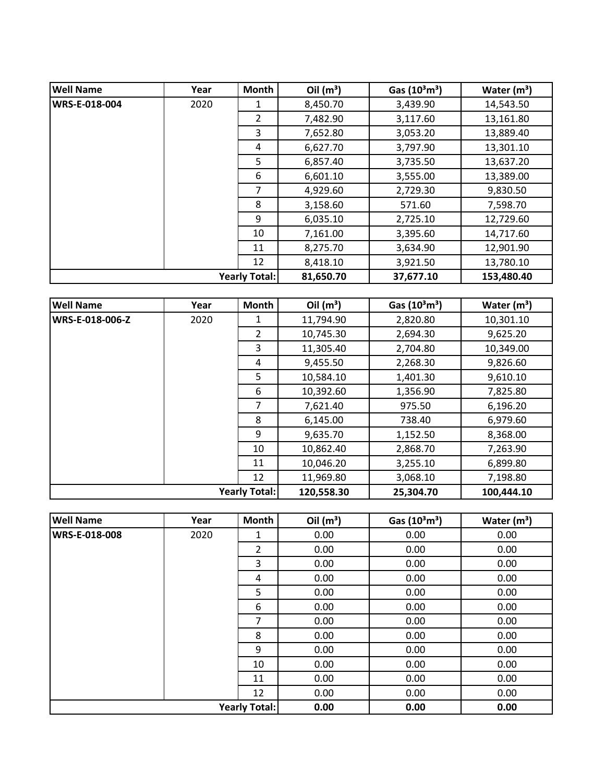| <b>Well Name</b> | Year | Month         | Oil $(m^3)$ | Gas $(10^3 \text{m}^3)$ | Water $(m^3)$ |
|------------------|------|---------------|-------------|-------------------------|---------------|
| WRS-E-018-004    | 2020 | 1             | 8,450.70    | 3,439.90                | 14,543.50     |
|                  |      | 2             | 7,482.90    | 3,117.60                | 13,161.80     |
|                  |      | 3             | 7,652.80    | 3,053.20                | 13,889.40     |
|                  |      | 4             | 6,627.70    | 3,797.90                | 13,301.10     |
|                  |      | 5             | 6,857.40    | 3,735.50                | 13,637.20     |
|                  |      | 6             | 6,601.10    | 3,555.00                | 13,389.00     |
|                  |      | 7             | 4,929.60    | 2,729.30                | 9,830.50      |
|                  |      | 8             | 3,158.60    | 571.60                  | 7,598.70      |
|                  |      | 9             | 6,035.10    | 2,725.10                | 12,729.60     |
|                  |      | 10            | 7,161.00    | 3,395.60                | 14,717.60     |
|                  |      | 11            | 8,275.70    | 3,634.90                | 12,901.90     |
|                  |      | 12            | 8,418.10    | 3,921.50                | 13,780.10     |
|                  |      | Yearly Total: | 81,650.70   | 37,677.10               | 153,480.40    |

| <b>Well Name</b> | Year | <b>Month</b>         | Oil $(m^3)$ | Gas $(10^3 \text{m}^3)$ | Water $(m^3)$ |
|------------------|------|----------------------|-------------|-------------------------|---------------|
| WRS-E-018-006-Z  | 2020 | 1                    | 11,794.90   | 2,820.80                | 10,301.10     |
|                  |      | $\mathcal{P}$        | 10,745.30   | 2,694.30                | 9,625.20      |
|                  |      | 3                    | 11,305.40   | 2,704.80                | 10,349.00     |
|                  |      | 4                    | 9,455.50    | 2,268.30                | 9,826.60      |
|                  |      | 5                    | 10,584.10   | 1,401.30                | 9,610.10      |
|                  |      | 6                    | 10,392.60   | 1,356.90                | 7,825.80      |
|                  |      | 7                    | 7,621.40    | 975.50                  | 6,196.20      |
|                  |      | 8                    | 6,145.00    | 738.40                  | 6,979.60      |
|                  |      | 9                    | 9,635.70    | 1,152.50                | 8,368.00      |
|                  |      | 10                   | 10,862.40   | 2,868.70                | 7,263.90      |
|                  |      | 11                   | 10,046.20   | 3,255.10                | 6,899.80      |
|                  |      | 12                   | 11,969.80   | 3,068.10                | 7,198.80      |
|                  |      | <b>Yearly Total:</b> | 120,558.30  | 25,304.70               | 100,444.10    |

| <b>Well Name</b>     | Year | <b>Month</b>         | Oil $(m^3)$ | Gas $(10^3 \text{m}^3)$ | Water $(m^3)$ |
|----------------------|------|----------------------|-------------|-------------------------|---------------|
| <b>WRS-E-018-008</b> | 2020 | 1                    | 0.00        | 0.00                    | 0.00          |
|                      |      | 2                    | 0.00        | 0.00                    | 0.00          |
|                      |      | 3                    | 0.00        | 0.00                    | 0.00          |
|                      |      | 4                    | 0.00        | 0.00                    | 0.00          |
|                      |      | 5                    | 0.00        | 0.00                    | 0.00          |
|                      |      | 6                    | 0.00        | 0.00                    | 0.00          |
|                      |      | 7                    | 0.00        | 0.00                    | 0.00          |
|                      |      | 8                    | 0.00        | 0.00                    | 0.00          |
|                      |      | 9                    | 0.00        | 0.00                    | 0.00          |
|                      |      | 10                   | 0.00        | 0.00                    | 0.00          |
|                      |      | 11                   | 0.00        | 0.00                    | 0.00          |
|                      |      | 12                   | 0.00        | 0.00                    | 0.00          |
|                      |      | <b>Yearly Total:</b> | 0.00        | 0.00                    | 0.00          |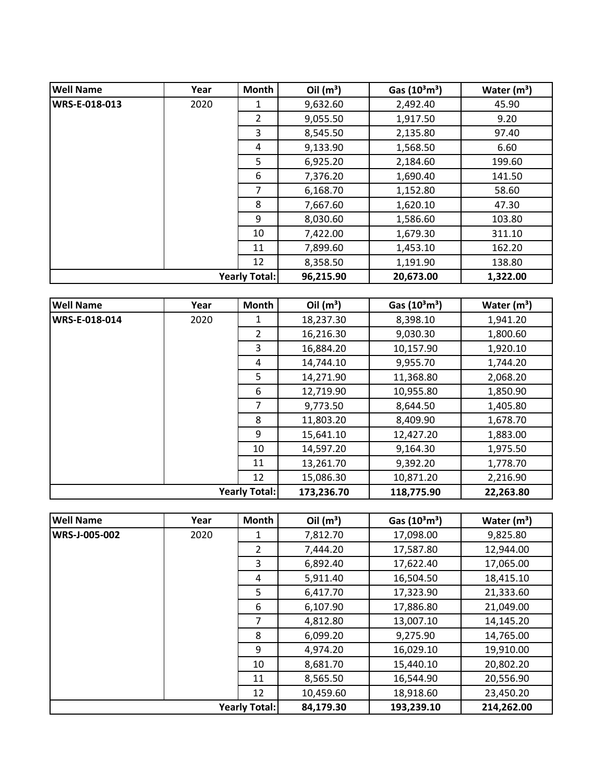| <b>Well Name</b>     | Year | Month          | Oil $(m^3)$ | Gas $(10^3 \text{m}^3)$ | Water $(m^3)$ |
|----------------------|------|----------------|-------------|-------------------------|---------------|
| WRS-E-018-013        | 2020 | 1              | 9,632.60    | 2,492.40                | 45.90         |
|                      |      | $\overline{2}$ | 9,055.50    | 1,917.50                | 9.20          |
|                      |      | 3              | 8,545.50    | 2,135.80                | 97.40         |
|                      |      | 4              | 9,133.90    | 1,568.50                | 6.60          |
|                      |      | 5              | 6,925.20    | 2,184.60                | 199.60        |
|                      |      | 6              | 7,376.20    | 1,690.40                | 141.50        |
|                      |      | 7              | 6,168.70    | 1,152.80                | 58.60         |
|                      |      | 8              | 7,667.60    | 1,620.10                | 47.30         |
|                      |      | 9              | 8,030.60    | 1,586.60                | 103.80        |
|                      |      | 10             | 7,422.00    | 1,679.30                | 311.10        |
|                      |      | 11             | 7,899.60    | 1,453.10                | 162.20        |
|                      |      | 12             | 8,358.50    | 1,191.90                | 138.80        |
| <b>Yearly Total:</b> |      | 96,215.90      | 20,673.00   | 1,322.00                |               |

| <b>Well Name</b> | Year | Month         | Oil $(m^3)$ | Gas $(10^3 \text{m}^3)$ | Water $(m^3)$ |
|------------------|------|---------------|-------------|-------------------------|---------------|
| WRS-E-018-014    | 2020 | 1             | 18,237.30   | 8,398.10                | 1,941.20      |
|                  |      | $\mathcal{P}$ | 16,216.30   | 9,030.30                | 1,800.60      |
|                  |      | 3             | 16,884.20   | 10,157.90               | 1,920.10      |
|                  |      | 4             | 14,744.10   | 9,955.70                | 1,744.20      |
|                  |      | 5             | 14,271.90   | 11,368.80               | 2,068.20      |
|                  |      | 6             | 12,719.90   | 10,955.80               | 1,850.90      |
|                  |      | 7             | 9,773.50    | 8,644.50                | 1,405.80      |
|                  |      | 8             | 11,803.20   | 8,409.90                | 1,678.70      |
|                  |      | 9             | 15,641.10   | 12,427.20               | 1,883.00      |
|                  |      | 10            | 14,597.20   | 9,164.30                | 1,975.50      |
|                  |      | 11            | 13,261.70   | 9,392.20                | 1,778.70      |
|                  |      | 12            | 15,086.30   | 10,871.20               | 2,216.90      |
|                  |      | Yearly Total: | 173,236.70  | 118,775.90              | 22,263.80     |

| <b>Well Name</b>     | Year | <b>Month</b>         | Oil $(m^3)$ | Gas $(10^3 \text{m}^3)$ | Water $(m^3)$ |
|----------------------|------|----------------------|-------------|-------------------------|---------------|
| <b>WRS-J-005-002</b> | 2020 | 1                    | 7,812.70    | 17,098.00               | 9,825.80      |
|                      |      | $\overline{2}$       | 7,444.20    | 17,587.80               | 12,944.00     |
|                      |      | 3                    | 6,892.40    | 17,622.40               | 17,065.00     |
|                      |      | 4                    | 5,911.40    | 16,504.50               | 18,415.10     |
|                      |      | 5                    | 6,417.70    | 17,323.90               | 21,333.60     |
|                      |      | 6                    | 6,107.90    | 17,886.80               | 21,049.00     |
|                      |      | 7                    | 4,812.80    | 13,007.10               | 14,145.20     |
|                      |      | 8                    | 6,099.20    | 9,275.90                | 14,765.00     |
|                      |      | 9                    | 4,974.20    | 16,029.10               | 19,910.00     |
|                      |      | 10                   | 8,681.70    | 15,440.10               | 20,802.20     |
|                      |      | 11                   | 8,565.50    | 16,544.90               | 20,556.90     |
|                      |      | 12                   | 10,459.60   | 18,918.60               | 23,450.20     |
|                      |      | <b>Yearly Total:</b> | 84,179.30   | 193,239.10              | 214,262.00    |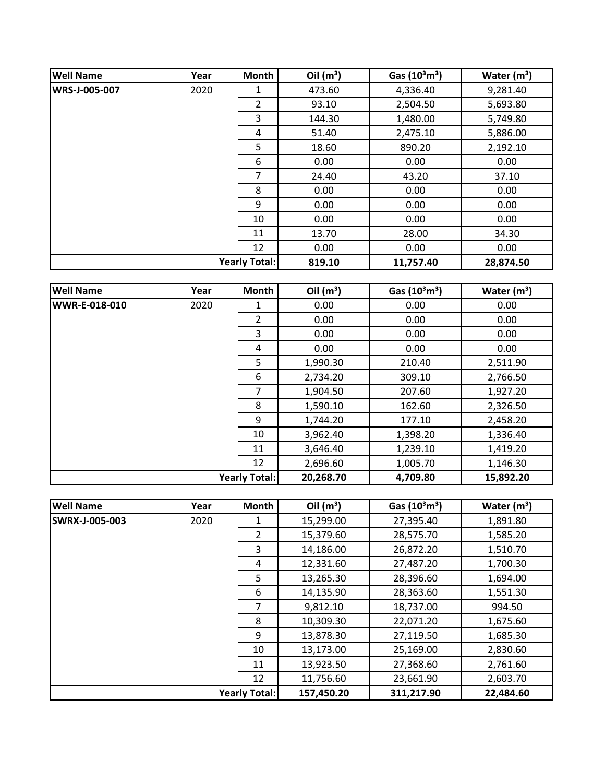| <b>Well Name</b>     | Year | Month                | Oil $(m^3)$ | Gas $(10^3 \text{m}^3)$ | Water $(m^3)$ |
|----------------------|------|----------------------|-------------|-------------------------|---------------|
| <b>WRS-J-005-007</b> | 2020 | 1                    | 473.60      | 4,336.40                | 9,281.40      |
|                      |      | $\overline{2}$       | 93.10       | 2,504.50                | 5,693.80      |
|                      |      | 3                    | 144.30      | 1,480.00                | 5,749.80      |
|                      |      | 4                    | 51.40       | 2,475.10                | 5,886.00      |
|                      |      | 5                    | 18.60       | 890.20                  | 2,192.10      |
|                      |      | 6                    | 0.00        | 0.00                    | 0.00          |
|                      |      | 7                    | 24.40       | 43.20                   | 37.10         |
|                      |      | 8                    | 0.00        | 0.00                    | 0.00          |
|                      |      | 9                    | 0.00        | 0.00                    | 0.00          |
|                      |      | 10                   | 0.00        | 0.00                    | 0.00          |
|                      |      | 11                   | 13.70       | 28.00                   | 34.30         |
|                      |      | 12                   | 0.00        | 0.00                    | 0.00          |
|                      |      | <b>Yearly Total:</b> | 819.10      | 11,757.40               | 28,874.50     |

| <b>Well Name</b>     | Year | Month          | Oil $(m^3)$ | Gas $(10^3 \text{m}^3)$ | Water $(m^3)$ |
|----------------------|------|----------------|-------------|-------------------------|---------------|
| <b>WWR-E-018-010</b> | 2020 | 1              | 0.00        | 0.00                    | 0.00          |
|                      |      | 2              | 0.00        | 0.00                    | 0.00          |
|                      |      | 3              | 0.00        | 0.00                    | 0.00          |
|                      |      | 4              | 0.00        | 0.00                    | 0.00          |
|                      |      | 5              | 1,990.30    | 210.40                  | 2,511.90      |
|                      |      | 6              | 2,734.20    | 309.10                  | 2,766.50      |
|                      |      | $\overline{7}$ | 1,904.50    | 207.60                  | 1,927.20      |
|                      |      | 8              | 1,590.10    | 162.60                  | 2,326.50      |
|                      |      | 9              | 1,744.20    | 177.10                  | 2,458.20      |
|                      |      | 10             | 3,962.40    | 1,398.20                | 1,336.40      |
|                      |      | 11             | 3,646.40    | 1,239.10                | 1,419.20      |
|                      |      | 12             | 2,696.60    | 1,005.70                | 1,146.30      |
| <b>Yearly Total:</b> |      |                | 20,268.70   | 4,709.80                | 15,892.20     |

| <b>Well Name</b>      | Year | Month          | Oil $(m^3)$ | Gas (10 <sup>3</sup> m <sup>3</sup> ) | Water $(m^3)$ |
|-----------------------|------|----------------|-------------|---------------------------------------|---------------|
| <b>SWRX-J-005-003</b> | 2020 |                | 15,299.00   | 27,395.40                             | 1,891.80      |
|                       |      | $\overline{2}$ | 15,379.60   | 28,575.70                             | 1,585.20      |
|                       |      | 3              | 14,186.00   | 26,872.20                             | 1,510.70      |
|                       |      | 4              | 12,331.60   | 27,487.20                             | 1,700.30      |
|                       |      | 5.             | 13,265.30   | 28,396.60                             | 1,694.00      |
|                       |      | 6              | 14,135.90   | 28,363.60                             | 1,551.30      |
|                       |      | 7              | 9,812.10    | 18,737.00                             | 994.50        |
|                       |      | 8              | 10,309.30   | 22,071.20                             | 1,675.60      |
|                       |      | 9              | 13,878.30   | 27,119.50                             | 1,685.30      |
|                       |      | 10             | 13,173.00   | 25,169.00                             | 2,830.60      |
|                       |      | 11             | 13,923.50   | 27,368.60                             | 2,761.60      |
|                       |      | 12             | 11,756.60   | 23,661.90                             | 2,603.70      |
| <b>Yearly Total:</b>  |      | 157,450.20     | 311,217.90  | 22,484.60                             |               |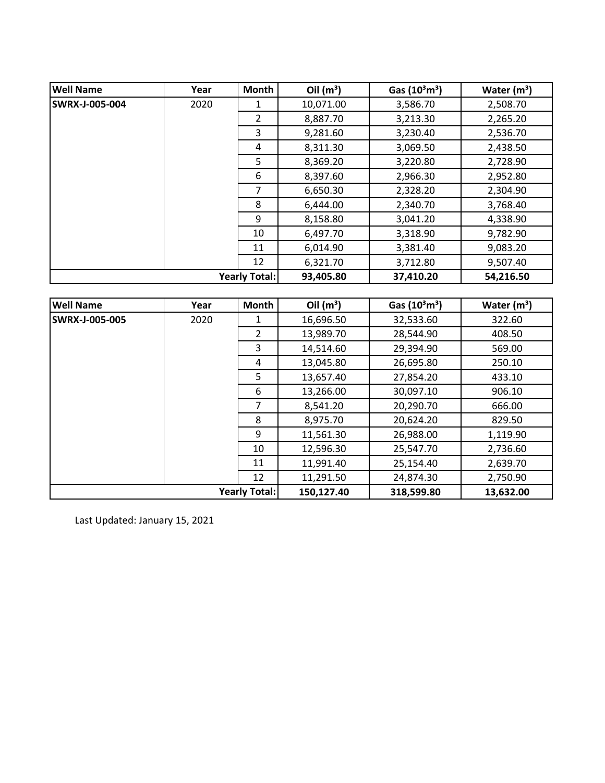| <b>Well Name</b>     | Year | <b>Month</b>  | Oil $(m^3)$ | Gas $(10^3 \text{m}^3)$ | Water $(m^3)$ |
|----------------------|------|---------------|-------------|-------------------------|---------------|
| SWRX-J-005-004       | 2020 | 1             | 10,071.00   | 3,586.70                | 2,508.70      |
|                      |      | $\mathcal{P}$ | 8,887.70    | 3,213.30                | 2,265.20      |
|                      |      | 3             | 9,281.60    | 3,230.40                | 2,536.70      |
|                      |      | 4             | 8,311.30    | 3,069.50                | 2,438.50      |
|                      |      | 5             | 8,369.20    | 3,220.80                | 2,728.90      |
|                      |      | 6             | 8,397.60    | 2,966.30                | 2,952.80      |
|                      |      | 7             | 6,650.30    | 2,328.20                | 2,304.90      |
|                      |      | 8             | 6,444.00    | 2,340.70                | 3,768.40      |
|                      |      | 9             | 8,158.80    | 3,041.20                | 4,338.90      |
|                      |      | 10            | 6,497.70    | 3,318.90                | 9,782.90      |
|                      |      | 11            | 6,014.90    | 3,381.40                | 9,083.20      |
|                      |      | 12            | 6,321.70    | 3,712.80                | 9,507.40      |
| <b>Yearly Total:</b> |      | 93,405.80     | 37,410.20   | 54,216.50               |               |

| <b>Well Name</b>      | Year | <b>Month</b> | Oil $(m^3)$ | Gas (10 <sup>3</sup> m <sup>3</sup> ) | Water $(m^3)$ |
|-----------------------|------|--------------|-------------|---------------------------------------|---------------|
| <b>SWRX-J-005-005</b> | 2020 | 1            | 16,696.50   | 32,533.60                             | 322.60        |
|                       |      | 2            | 13,989.70   | 28,544.90                             | 408.50        |
|                       |      | 3            | 14,514.60   | 29,394.90                             | 569.00        |
|                       |      | 4            | 13,045.80   | 26,695.80                             | 250.10        |
|                       |      | 5            | 13,657.40   | 27,854.20                             | 433.10        |
|                       |      | 6            | 13,266.00   | 30,097.10                             | 906.10        |
|                       |      | 7            | 8,541.20    | 20,290.70                             | 666.00        |
|                       |      | 8            | 8,975.70    | 20,624.20                             | 829.50        |
|                       |      | 9            | 11,561.30   | 26,988.00                             | 1,119.90      |
|                       |      | 10           | 12,596.30   | 25,547.70                             | 2,736.60      |
|                       |      | 11           | 11,991.40   | 25,154.40                             | 2,639.70      |
|                       |      | 12           | 11,291.50   | 24,874.30                             | 2,750.90      |
| <b>Yearly Total:</b>  |      | 150,127.40   | 318,599.80  | 13,632.00                             |               |

Last Updated: January 15, 2021